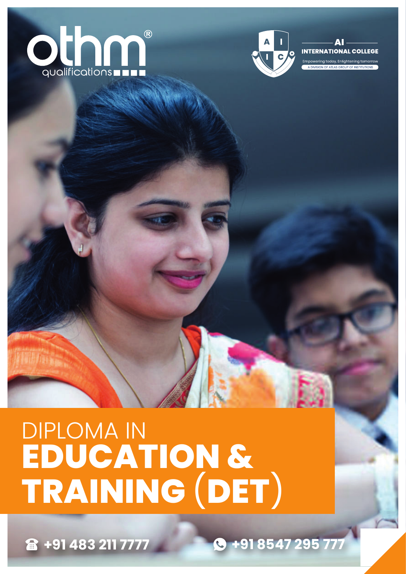



**INTERNATIONAL COLLEGE** wering today, Enlightening ton

# DIPLOMA IN **EDUCATION & TRAINING** (**DET**)

**+91 483 211 7777 +91 8547 295 777**